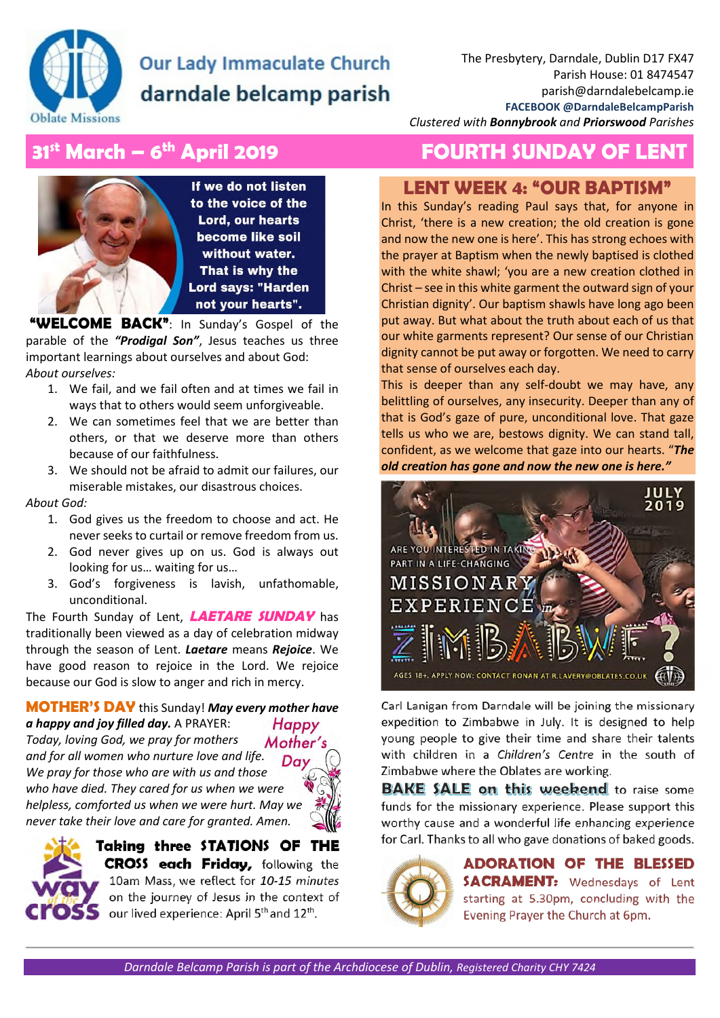

## **Our Lady Immaculate Church** darndale belcamp parish

*Clustered with Bonnybrook and Priorswood Parishes* 

## **31st March – 6th April 2019 FOURTH SUNDAY OF LENT**

If we do not listen to the voice of the **Lord, our hearts** become like soil without water. That is why the **Lord says: "Harden** not your hearts".

 **"WELCOME BACK"**: In Sunday's Gospel of the parable of the *"Prodigal Son"*, Jesus teaches us three important learnings about ourselves and about God: *About ourselves:* 

- 1. We fail, and we fail often and at times we fail in ways that to others would seem unforgiveable.
- 2. We can sometimes feel that we are better than others, or that we deserve more than others because of our faithfulness.
- 3. We should not be afraid to admit our failures, our miserable mistakes, our disastrous choices.

#### *About God:*

- 1. God gives us the freedom to choose and act. He never seeks to curtail or remove freedom from us.
- 2. God never gives up on us. God is always out looking for us… waiting for us…
- 3. God's forgiveness is lavish, unfathomable, unconditional.

The Fourth Sunday of Lent, **LAETARE SUNDAY** has traditionally been viewed as a day of celebration midway through the season of Lent. *Laetare* means *Rejoice*. We have good reason to rejoice in the Lord. We rejoice because our God is slow to anger and rich in mercy.

#### **MOTHER'S DAY** this Sunday! *May every mother have a happy and joy filled day.* A PRAYER: **Happy** *Today, loving God, we pray for mothers*  Mother's *and for all women who nurture love and life.*  Day *We pray for those who are with us and those who have died. They cared for us when we were helpless, comforted us when we were hurt. May we never take their love and care for granted. Amen.*





**Taking three STATIONS OF THE CROSS each Friday,** following the 10am Mass, we reflect for *10-15 minutes* on the journey of Jesus in the context of our lived experience: April 5<sup>th</sup> and 12<sup>th</sup>.

## **LENT WEEK 4: "OUR BAPTISM"**

In this Sunday's reading Paul says that, for anyone in Christ, 'there is a new creation; the old creation is gone and now the new one is here'. This has strong echoes with the prayer at Baptism when the newly baptised is clothed with the white shawl; 'you are a new creation clothed in Christ – see in this white garment the outward sign of your Christian dignity'. Our baptism shawls have long ago been put away. But what about the truth about each of us that our white garments represent? Our sense of our Christian dignity cannot be put away or forgotten. We need to carry that sense of ourselves each day.

This is deeper than any self-doubt we may have, any belittling of ourselves, any insecurity. Deeper than any of that is God's gaze of pure, unconditional love. That gaze tells us who we are, bestows dignity. We can stand tall, confident, as we welcome that gaze into our hearts. "*The old creation has gone and now the new one is here."*



Carl Lanigan from Darndale will be joining the missionary expedition to Zimbabwe in July. It is designed to help young people to give their time and share their talents with children in a *Children's Centre* in the south of Zimbabwe where the Oblates are working.

**BAKE SALE on this weekend** to raise some funds for the missionary experience. Please support this worthy cause and a wonderful life enhancing experience for Carl. Thanks to all who gave donations of baked goods.



**ADORATION OF THE BLESSED SACRAMENT:** Wednesdays of Lent starting at 5.30pm, concluding with the Evening Prayer the Church at 6pm.